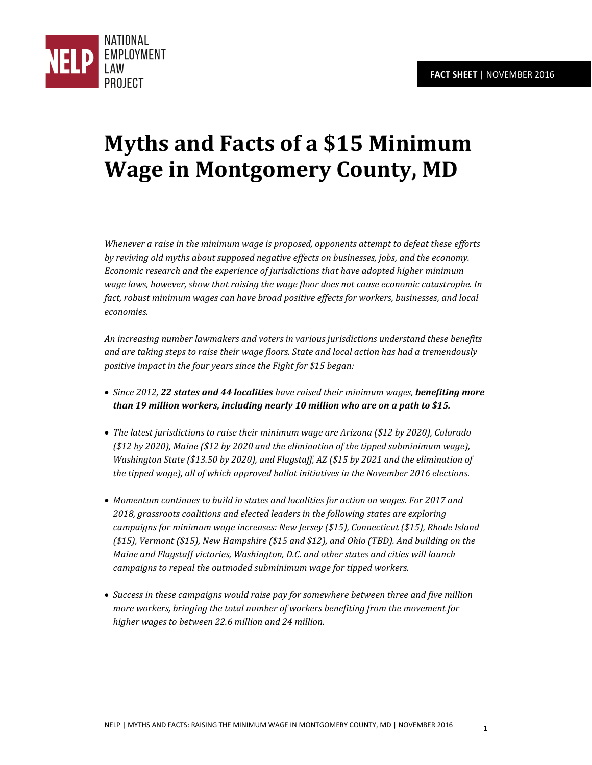

# **Myths and Facts of a \$15 Minimum Wage in Montgomery County, MD**

*Whenever a raise in the minimum wage is proposed, opponents attempt to defeat these efforts by reviving old myths about supposed negative effects on businesses, jobs, and the economy. Economic research and the experience of jurisdictions that have adopted higher minimum wage laws, however, show that raising the wage floor does not cause economic catastrophe. In fact, robust minimum wages can have broad positive effects for workers, businesses, and local economies.* 

*An increasing number lawmakers and voters in various jurisdictions understand these benefits and are taking steps to raise their wage floors. State and local action has had a tremendously positive impact in the four years since the Fight for \$15 began:* 

- *Since 2012, 22 states and 44 localities have raised their minimum wages, benefiting more than 19 million workers, including nearly 10 million who are on a path to \$15.*
- *The latest jurisdictions to raise their minimum wage are Arizona (\$12 by 2020), Colorado (\$12 by 2020), Maine (\$12 by 2020 and the elimination of the tipped subminimum wage), Washington State (\$13.50 by 2020), and Flagstaff, AZ (\$15 by 2021 and the elimination of the tipped wage), all of which approved ballot initiatives in the November 2016 elections.*
- *Momentum continues to build in states and localities for action on wages. For 2017 and 2018, grassroots coalitions and elected leaders in the following states are exploring campaigns for minimum wage increases: New Jersey (\$15), Connecticut (\$15), Rhode Island (\$15), Vermont (\$15), New Hampshire (\$15 and \$12), and Ohio (TBD). And building on the Maine and Flagstaff victories, Washington, D.C. and other states and cities will launch campaigns to repeal the outmoded subminimum wage for tipped workers.*
- *Success in these campaigns would raise pay for somewhere between three and five million more workers, bringing the total number of workers benefiting from the movement for higher wages to between 22.6 million and 24 million.*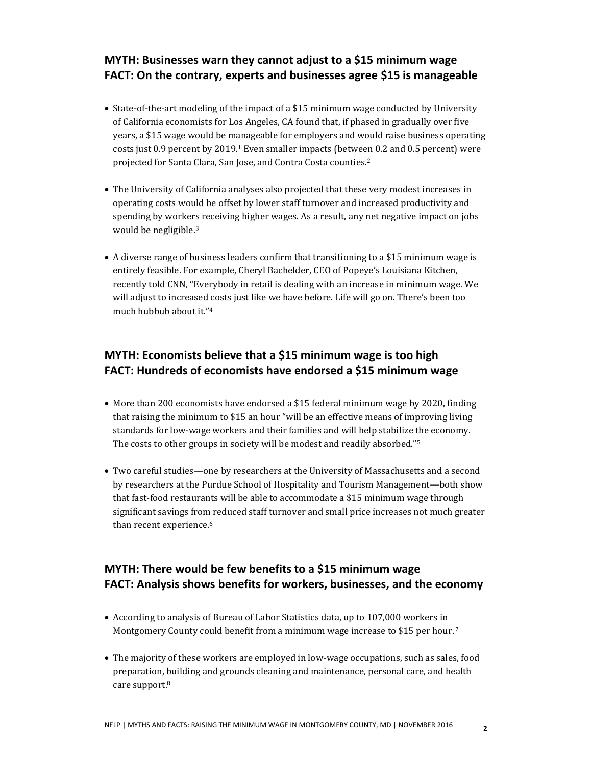#### **MYTH: Businesses warn they cannot adjust to a \$15 minimum wage FACT: On the contrary, experts and businesses agree \$15 is manageable**

- State-of-the-art modeling of the impact of a \$15 minimum wage conducted by University of California economists for Los Angeles, CA found that, if phased in gradually over five years, a \$15 wage would be manageable for employers and would raise business operating costs just 0.9 percent by 2019.1 Even smaller impacts (between 0.2 and 0.5 percent) were projected for Santa Clara, San Jose, and Contra Costa counties.<sup>2</sup>
- The University of California analyses also projected that these very modest increases in operating costs would be offset by lower staff turnover and increased productivity and spending by workers receiving higher wages. As a result, any net negative impact on jobs would be negligible.<sup>3</sup>
- A diverse range of business leaders confirm that transitioning to a \$15 minimum wage is entirely feasible. For example, Cheryl Bachelder, CEO of Popeye's Louisiana Kitchen, recently told CNN, "Everybody in retail is dealing with an increase in minimum wage. We will adjust to increased costs just like we have before. Life will go on. There's been too much hubbub about it."<sup>4</sup>

#### **MYTH: Economists believe that a \$15 minimum wage is too high FACT: Hundreds of economists have endorsed a \$15 minimum wage**

- More than 200 economists have endorsed a \$15 federal minimum wage by 2020, finding that raising the minimum to \$15 an hour "will be an effective means of improving living standards for low-wage workers and their families and will help stabilize the economy. The costs to other groups in society will be modest and readily absorbed." 5
- Two careful studies—one by researchers at the University of Massachusetts and a second by researchers at the Purdue School of Hospitality and Tourism Management—both show that fast-food restaurants will be able to accommodate a \$15 minimum wage through significant savings from reduced staff turnover and small price increases not much greater than recent experience.<sup>6</sup>

## **MYTH: There would be few benefits to a \$15 minimum wage FACT: Analysis shows benefits for workers, businesses, and the economy**

- According to analysis of Bureau of Labor Statistics data, up to 107,000 workers in Montgomery County could benefit from a minimum wage increase to \$15 per hour.<sup>7</sup>
- The majority of these workers are employed in low-wage occupations, such as sales, food preparation, building and grounds cleaning and maintenance, personal care, and health care support.8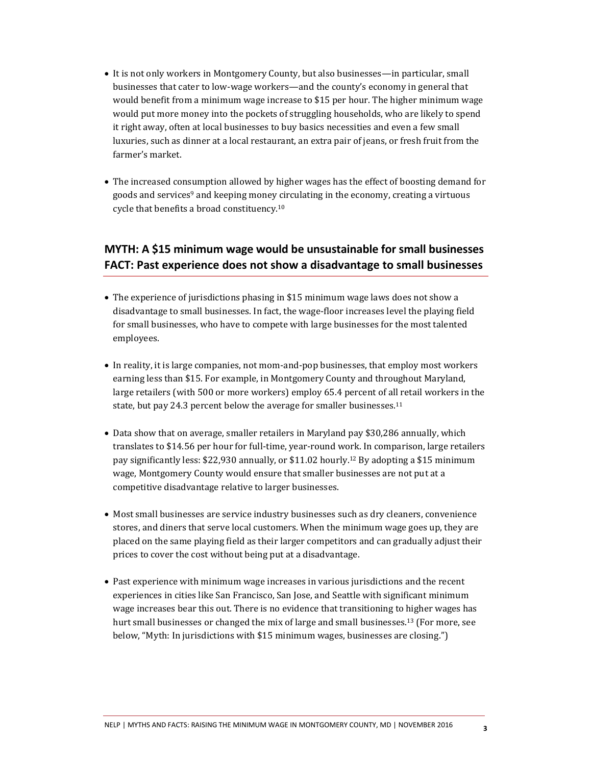- It is not only workers in Montgomery County, but also businesses—in particular, small businesses that cater to low-wage workers—and the county's economy in general that would benefit from a minimum wage increase to \$15 per hour. The higher minimum wage would put more money into the pockets of struggling households, who are likely to spend it right away, often at local businesses to buy basics necessities and even a few small luxuries, such as dinner at a local restaurant, an extra pair of jeans, or fresh fruit from the farmer's market.
- The increased consumption allowed by higher wages has the effect of boosting demand for goods and services<sup>9</sup> and keeping money circulating in the economy, creating a virtuous cycle that benefits a broad constituency.<sup>10</sup>

#### **MYTH: A \$15 minimum wage would be unsustainable for small businesses FACT: Past experience does not show a disadvantage to small businesses**

- The experience of jurisdictions phasing in \$15 minimum wage laws does not show a disadvantage to small businesses. In fact, the wage-floor increases level the playing field for small businesses, who have to compete with large businesses for the most talented employees.
- In reality, it is large companies, not mom-and-pop businesses, that employ most workers earning less than \$15. For example, in Montgomery County and throughout Maryland, large retailers (with 500 or more workers) employ 65.4 percent of all retail workers in the state, but pay 24.3 percent below the average for smaller businesses.<sup>11</sup>
- Data show that on average, smaller retailers in Maryland pay \$30,286 annually, which translates to \$14.56 per hour for full-time, year-round work. In comparison, large retailers pay significantly less: \$22,930 annually, or \$11.02 hourly.12 By adopting a \$15 minimum wage, Montgomery County would ensure that smaller businesses are not put at a competitive disadvantage relative to larger businesses.
- Most small businesses are service industry businesses such as dry cleaners, convenience stores, and diners that serve local customers. When the minimum wage goes up, they are placed on the same playing field as their larger competitors and can gradually adjust their prices to cover the cost without being put at a disadvantage.
- Past experience with minimum wage increases in various jurisdictions and the recent experiences in cities like San Francisco, San Jose, and Seattle with significant minimum wage increases bear this out. There is no evidence that transitioning to higher wages has hurt small businesses or changed the mix of large and small businesses.13 (For more, see below, "Myth: In jurisdictions with \$15 minimum wages, businesses are closing.")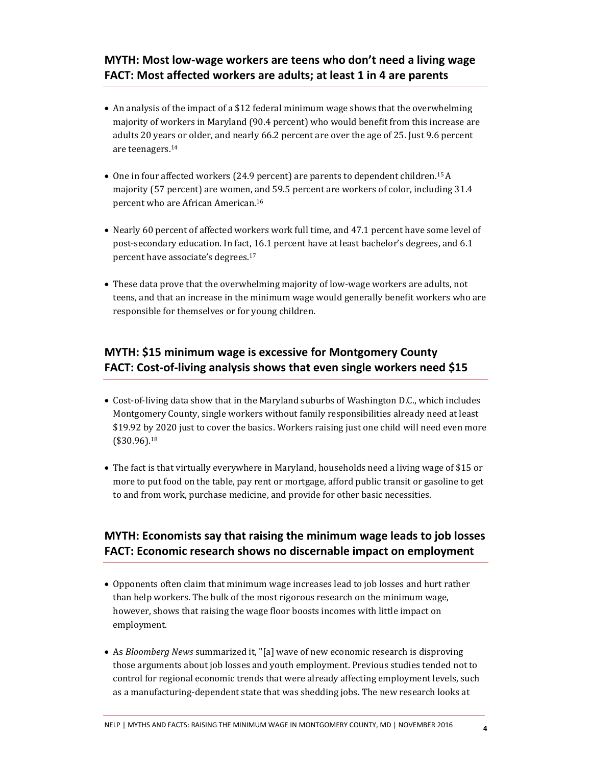#### **MYTH: Most low-wage workers are teens who don't need a living wage FACT: Most affected workers are adults; at least 1 in 4 are parents**

- An analysis of the impact of a \$12 federal minimum wage shows that the overwhelming majority of workers in Maryland (90.4 percent) who would benefit from this increase are adults 20 years or older, and nearly 66.2 percent are over the age of 25. Just 9.6 percent are teenagers.<sup>14</sup>
- One in four affected workers (24.9 percent) are parents to dependent children.15A majority (57 percent) are women, and 59.5 percent are workers of color, including 31.4 percent who are African American.<sup>16</sup>
- Nearly 60 percent of affected workers work full time, and 47.1 percent have some level of post-secondary education. In fact, 16.1 percent have at least bachelor's degrees, and 6.1 percent have associate's degrees.<sup>17</sup>
- These data prove that the overwhelming majority of low-wage workers are adults, not teens, and that an increase in the minimum wage would generally benefit workers who are responsible for themselves or for young children.

#### **MYTH: \$15 minimum wage is excessive for Montgomery County FACT: Cost-of-living analysis shows that even single workers need \$15**

- Cost-of-living data show that in the Maryland suburbs of Washington D.C., which includes Montgomery County, single workers without family responsibilities already need at least \$19.92 by 2020 just to cover the basics. Workers raising just one child will need even more (\$30.96).<sup>18</sup>
- The fact is that virtually everywhere in Maryland, households need a living wage of \$15 or more to put food on the table, pay rent or mortgage, afford public transit or gasoline to get to and from work, purchase medicine, and provide for other basic necessities.

#### **MYTH: Economists say that raising the minimum wage leads to job losses FACT: Economic research shows no discernable impact on employment**

- Opponents often claim that minimum wage increases lead to job losses and hurt rather than help workers. The bulk of the most rigorous research on the minimum wage, however, shows that raising the wage floor boosts incomes with little impact on employment.
- As *Bloomberg News* summarized it, "[a] wave of new economic research is disproving those arguments about job losses and youth employment. Previous studies tended not to control for regional economic trends that were already affecting employment levels, such as a manufacturing-dependent state that was shedding jobs. The new research looks at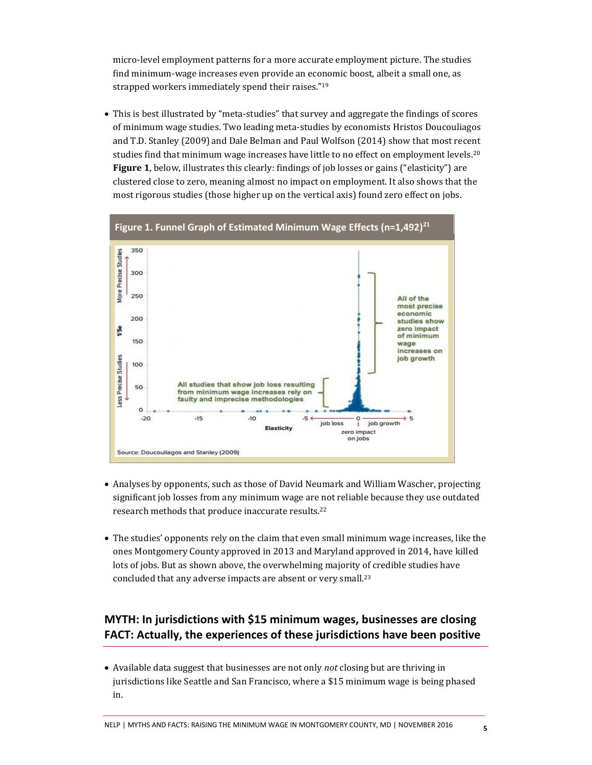micro-level employment patterns for a more accurate employment picture. The studies find minimum-wage increases even provide an economic boost, albeit a small one, as strapped workers immediately spend their raises." 19

 This is best illustrated by "meta-studies" that survey and aggregate the findings of scores of minimum wage studies. Two leading meta-studies by economists Hristos Doucouliagos and T.D. Stanley (2009) and Dale Belman and Paul Wolfson (2014) show that most recent studies find that minimum wage increases have little to no effect on employment levels.<sup>20</sup> **Figure 1**, below, illustrates this clearly: findings of job losses or gains ("elasticity") are clustered close to zero, meaning almost no impact on employment. It also shows that the most rigorous studies (those higher up on the vertical axis) found zero effect on jobs.



- Analyses by opponents, such as those of David Neumark and William Wascher, projecting significant job losses from any minimum wage are not reliable because they use outdated research methods that produce inaccurate results.<sup>22</sup>
- The studies' opponents rely on the claim that even small minimum wage increases, like the ones Montgomery County approved in 2013 and Maryland approved in 2014, have killed lots of jobs. But as shown above, the overwhelming majority of credible studies have concluded that any adverse impacts are absent or very small.<sup>23</sup>

### **MYTH: In jurisdictions with \$15 minimum wages, businesses are closing FACT: Actually, the experiences of these jurisdictions have been positive**

 Available data suggest that businesses are not only *not* closing but are thriving in jurisdictions like Seattle and San Francisco, where a \$15 minimum wage is being phased in.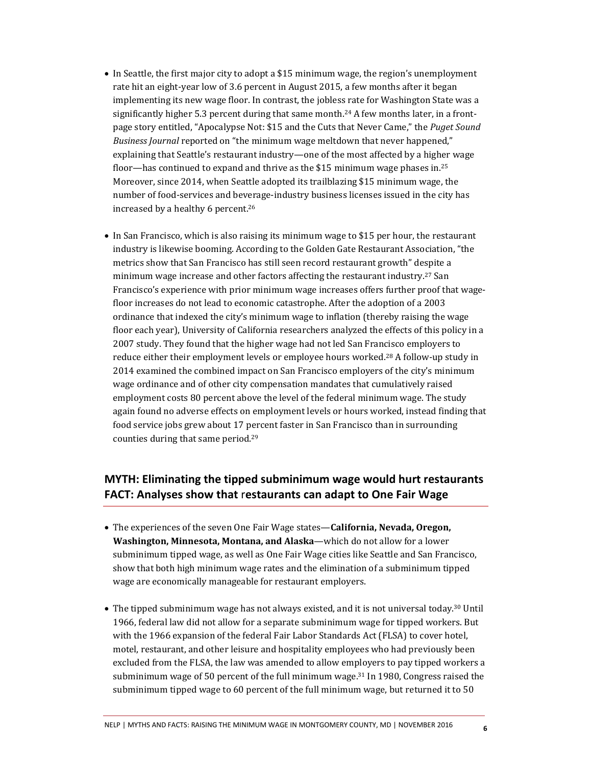- In Seattle, the first major city to adopt a \$15 minimum wage, the region's unemployment rate hit an eight-year low of 3.6 percent in August 2015, a few months after it began implementing its new wage floor. In contrast, the jobless rate for Washington State was a significantly higher 5.3 percent during that same month.<sup>24</sup> A few months later, in a frontpage story entitled, "Apocalypse Not: \$15 and the Cuts that Never Came," the *Puget Sound Business Journal* reported on "the minimum wage meltdown that never happened," explaining that Seattle's restaurant industry—one of the most affected by a higher wage floor—has continued to expand and thrive as the \$15 minimum wage phases in.<sup>25</sup> Moreover, since 2014, when Seattle adopted its trailblazing \$15 minimum wage, the number of food-services and beverage-industry business licenses issued in the city has increased by a healthy 6 percent.<sup>26</sup>
- In San Francisco, which is also raising its minimum wage to \$15 per hour, the restaurant industry is likewise booming. According to the Golden Gate Restaurant Association, "the metrics show that San Francisco has still seen record restaurant growth" despite a minimum wage increase and other factors affecting the restaurant industry.<sup>27</sup> San Francisco's experience with prior minimum wage increases offers further proof that wagefloor increases do not lead to economic catastrophe. After the adoption of a 2003 ordinance that indexed the city's minimum wage to inflation (thereby raising the wage floor each year), University of California researchers analyzed the effects of this policy in a 2007 study. They found that the higher wage had not led San Francisco employers to reduce either their employment levels or employee hours worked.28 A follow-up study in 2014 examined the combined impact on San Francisco employers of the city's minimum wage ordinance and of other city compensation mandates that cumulatively raised employment costs 80 percent above the level of the federal minimum wage. The study again found no adverse effects on employment levels or hours worked, instead finding that food service jobs grew about 17 percent faster in San Francisco than in surrounding counties during that same period.<sup>29</sup>

#### **MYTH: Eliminating the tipped subminimum wage would hurt restaurants FACT: Analyses show that** r**estaurants can adapt to One Fair Wage**

- The experiences of the seven One Fair Wage states—**California, Nevada, Oregon, Washington, Minnesota, Montana, and Alaska**—which do not allow for a lower subminimum tipped wage, as well as One Fair Wage cities like Seattle and San Francisco, show that both high minimum wage rates and the elimination of a subminimum tipped wage are economically manageable for restaurant employers.
- The tipped subminimum wage has not always existed, and it is not universal today.<sup>30</sup> Until 1966, federal law did not allow for a separate subminimum wage for tipped workers. But with the 1966 expansion of the federal Fair Labor Standards Act (FLSA) to cover hotel, motel, restaurant, and other leisure and hospitality employees who had previously been excluded from the FLSA, the law was amended to allow employers to pay tipped workers a subminimum wage of 50 percent of the full minimum wage.<sup>31</sup> In 1980, Congress raised the subminimum tipped wage to 60 percent of the full minimum wage, but returned it to 50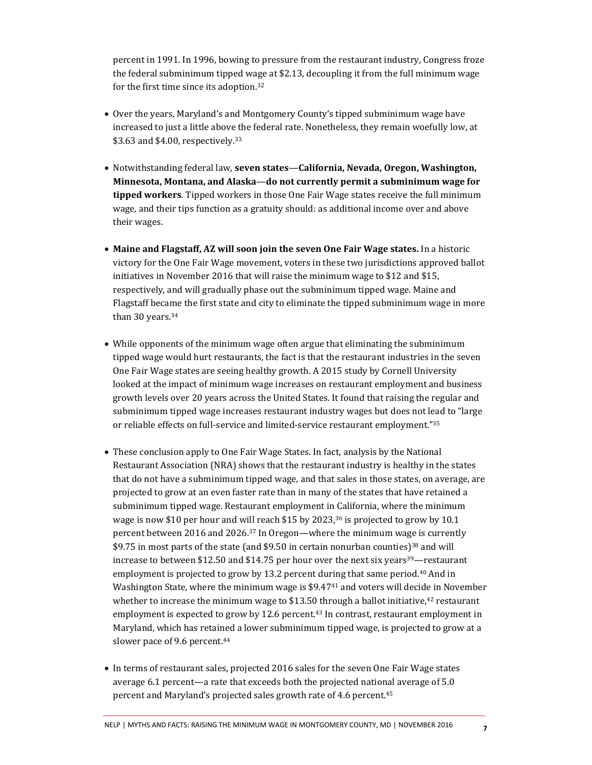percent in 1991. In 1996, bowing to pressure from the restaurant industry, Congress froze the federal subminimum tipped wage at \$2.13, decoupling it from the full minimum wage for the first time since its adoption.<sup>32</sup>

- Over the years, Maryland's and Montgomery County's tipped subminimum wage have increased to just a little above the federal rate. Nonetheless, they remain woefully low, at \$3.63 and \$4.00, respectively.<sup>33</sup>
- Notwithstanding federal law, **seven states**—**California, Nevada, Oregon, Washington, Minnesota, Montana, and Alaska**—**do not currently permit a subminimum wage for tipped workers**. Tipped workers in those One Fair Wage states receive the full minimum wage, and their tips function as a gratuity should: as additional income over and above their wages.
- **Maine and Flagstaff, AZ will soon join the seven One Fair Wage states.** In a historic victory for the One Fair Wage movement, voters in these two jurisdictions approved ballot initiatives in November 2016 that will raise the minimum wage to \$12 and \$15, respectively, and will gradually phase out the subminimum tipped wage. Maine and Flagstaff became the first state and city to eliminate the tipped subminimum wage in more than 30 years.<sup>34</sup>
- While opponents of the minimum wage often argue that eliminating the subminimum tipped wage would hurt restaurants, the fact is that the restaurant industries in the seven One Fair Wage states are seeing healthy growth. A 2015 study by Cornell University looked at the impact of minimum wage increases on restaurant employment and business growth levels over 20 years across the United States. It found that raising the regular and subminimum tipped wage increases restaurant industry wages but does not lead to "large or reliable effects on full-service and limited-service restaurant employment."<sup>35</sup>
- These conclusion apply to One Fair Wage States. In fact, analysis by the National Restaurant Association (NRA) shows that the restaurant industry is healthy in the states that do not have a subminimum tipped wage, and that sales in those states, on average, are projected to grow at an even faster rate than in many of the states that have retained a subminimum tipped wage. Restaurant employment in California, where the minimum wage is now \$10 per hour and will reach \$15 by  $2023<sup>36</sup>$  is projected to grow by 10.1 percent between 2016 and 2026.37 In Oregon—where the minimum wage is currently \$9.75 in most parts of the state (and \$9.50 in certain nonurban counties)38 and will increase to between \$12.50 and \$14.75 per hour over the next six years<sup>39</sup>—restaurant employment is projected to grow by 13.2 percent during that same period.<sup>40</sup> And in Washington State, where the minimum wage is \$9.4741 and voters will decide in November whether to increase the minimum wage to \$13.50 through a ballot initiative, $42$  restaurant employment is expected to grow by 12.6 percent.43 In contrast, restaurant employment in Maryland, which has retained a lower subminimum tipped wage, is projected to grow at a slower pace of 9.6 percent.<sup>44</sup>
- In terms of restaurant sales, projected 2016 sales for the seven One Fair Wage states average 6.1 percent—a rate that exceeds both the projected national average of 5.0 percent and Maryland's projected sales growth rate of 4.6 percent.<sup>45</sup>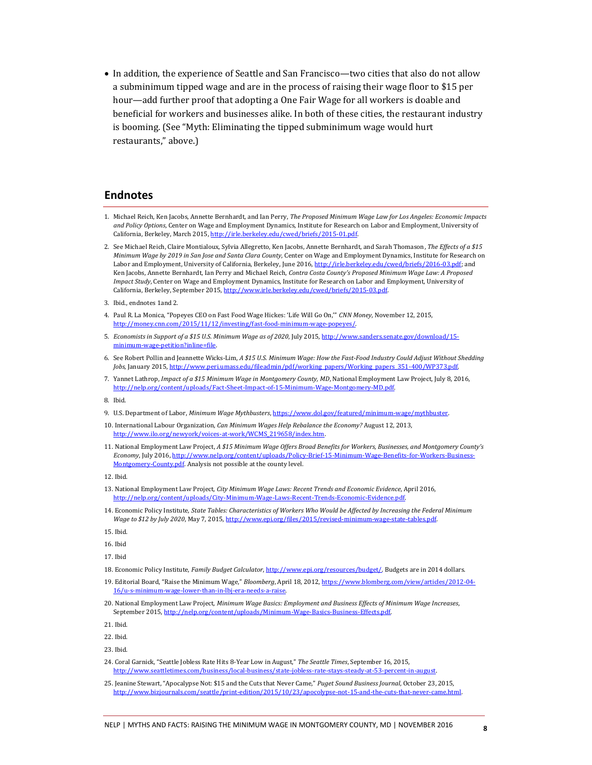In addition, the experience of Seattle and San Francisco—two cities that also do not allow a subminimum tipped wage and are in the process of raising their wage floor to \$15 per hour—add further proof that adopting a One Fair Wage for all workers is doable and beneficial for workers and businesses alike. In both of these cities, the restaurant industry is booming. (See "Myth: Eliminating the tipped subminimum wage would hurt restaurants," above.)

#### **Endnotes**

- 1. Michael Reich, Ken Jacobs, Annette Bernhardt, and Ian Perry, *The Proposed Minimum Wage Law for Los Angeles: Economic Impacts and Policy Options*, Center on Wage and Employment Dynamics, Institute for Research on Labor and Employment, University of California, Berkeley, March 2015[, http://irle.berkeley.edu/cwed/briefs/2015-01.pdf.](http://irle.berkeley.edu/cwed/briefs/2015-01.pdf)
- 2. See Michael Reich, Claire Montialoux, Sylvia Allegretto, Ken Jacobs, Annette Bernhardt, and Sarah Thomason, *The Effects of a \$15 Minimum Wage by 2019 in San Jose and Santa Clara County*, Center on Wage and Employment Dynamics, Institute for Research on Labor and Employment, University of California, Berkeley, June 2016[, http://irle.berkeley.edu/cwed/briefs/2016-03.pdf;](http://irle.berkeley.edu/cwed/briefs/2016-03.pdf) and Ken Jacobs, Annette Bernhardt, Ian Perry and Michael Reich, *Contra Costa County's Proposed Minimum Wage Law: A Proposed Impact Study*, Center on Wage and Employment Dynamics, Institute for Research on Labor and Employment, University of California, Berkeley, September 2015, http://www.irle.berkeley.edu/cwed/briefs/2015-03.pdf
- 3. Ibid., endnotes 1and 2.
- 4. Paul R. La Monica, "Popeyes CEO on Fast Food Wage Hickes: 'Life Will Go On,'" *CNN Money*, November 12, 2015, [http://money.cnn.com/2015/11/12/investing/fast-food-minimum-wage-popeyes/.](http://money.cnn.com/2015/11/12/investing/fast-food-minimum-wage-popeyes/)
- 5. *Economists in Support of a \$15 U.S. Minimum Wage as of 2020*, July 2015[, http://www.sanders.senate.gov/download/15](http://www.sanders.senate.gov/download/15-minimum-wage-petition?inline=file) netition?inline=file
- 6. See Robert Pollin and Jeannette Wicks-Lim, *A \$15 U.S. Minimum Wage: How the Fast-Food Industry Could Adjust Without Shedding Jobs*, January 2015[, http://www.peri.umass.edu/fileadmin/pdf/working\\_papers/Working\\_papers\\_351-400/WP373.pdf.](http://www.peri.umass.edu/fileadmin/pdf/working_papers/Working_papers_351-400/WP373.pdf)
- 7. Yannet Lathrop, *Impact of a \$15 Minimum Wage in Montgomery County, MD*, National Employment Law Project, July 8, 2016, [http://nelp.org/content/uploads/Fact-Sheet-Impact-of-15-Minimum-Wage-Montgomery-MD.pdf.](http://nelp.org/content/uploads/Fact-Sheet-Impact-of-15-Minimum-Wage-Montgomery-MD.pdf)

- 9. U.S. Department of Labor, *Minimum Wage Mythbusters*[, https://www.dol.gov/featured/minimum-wage/mythbuster.](https://www.dol.gov/featured/minimum-wage/mythbuster)
- 10. International Labour Organization, *Can Minimum Wages Help Rebalance the Economy?* August 12, 2013, [http://www.ilo.org/newyork/voices-at-work/WCMS\\_219658/index.htm.](http://www.ilo.org/newyork/voices-at-work/WCMS_219658/index.htm)
- 11. National Employment Law Project, *A \$15 Minimum Wage Offers Broad Benefits for Workers, Businesses, and Montgomery County's Economy*, July 2016[, http://www.nelp.org/content/uploads/Policy-Brief-15-Minimum-Wage-Benefits-for-Workers-Business-](http://www.nelp.org/content/uploads/Policy-Brief-15-Minimum-Wage-Benefits-for-Workers-Business-Montgomery-County.pdf)[Montgomery-County.pdf.](http://www.nelp.org/content/uploads/Policy-Brief-15-Minimum-Wage-Benefits-for-Workers-Business-Montgomery-County.pdf) Analysis not possible at the county level.

- 13. National Employment Law Project, *City Minimum Wage Laws: Recent Trends and Economic Evidence*, April 2016, [http://nelp.org/content/uploads/City-Minimum-Wage-Laws-Recent-Trends-Economic-Evidence.pdf.](http://nelp.org/content/uploads/City-Minimum-Wage-Laws-Recent-Trends-Economic-Evidence.pdf)
- 14. Economic Policy Institute, *State Tables: Characteristics of Workers Who Would be Affected by Increasing the Federal Minimum Wage to \$12 by July 2020*, May 7, 2015[, http://www.epi.org/files/2015/revised-minimum-wage-state-tables.pdf.](http://www.epi.org/files/2015/revised-minimum-wage-state-tables.pdf)

15. Ibid.

16. Ibid

17. Ibid

18. Economic Policy Institute, *Family Budget Calculator*[, http://www.epi.org/resources/budget/.](http://www.epi.org/resources/budget/) Budgets are in 2014 dollars.

- 19. Editorial Board, "Raise the Minimum Wage," *Bloomberg*, April 18, 2012[, https://www.blomberg.com/view/articles/2012-04](https://www.blomberg.com/view/articles/2012-04-16/u-s-minimum-wage-lower-than-in-lbj-era-needs-a-raise) e-lower-than-in-lbj-era-needs-
- 20. National Employment Law Project, *Minimum Wage Basics: Employment and Business Effects of Minimum Wage Increases*, September 2015, http://nelp.org/content/uploads/Minimum-Wage-Basics-Busine

21. Ibid.

22. Ibid.

23. Ibid.

- 24. Coral Garnick, "Seattle Jobless Rate Hits 8-Year Low in August," *The Seattle Times*, September 16, 2015, [http://www.seattletimes.com/business/local-business/state-jobless-rate-stays-steady-at-53-percent-in-august.](http://www.seattletimes.com/business/local-business/state-jobless-rate-stays-steady-at-53-percent-in-august)
- 25. Jeanine Stewart, "Apocalypse Not: \$15 and the Cuts that Never Came," *Puget Sound Business Journal*, October 23, 2015, [http://www.bizjournals.com/seattle/print-edition/2015/10/23/apocolypse-not-15-and-the-cuts-that-never-came.html.](http://www.bizjournals.com/seattle/print-edition/2015/10/23/apocolypse-not-15-and-the-cuts-that-never-came.html)

<sup>8.</sup> Ibid.

<sup>12.</sup> Ibid.